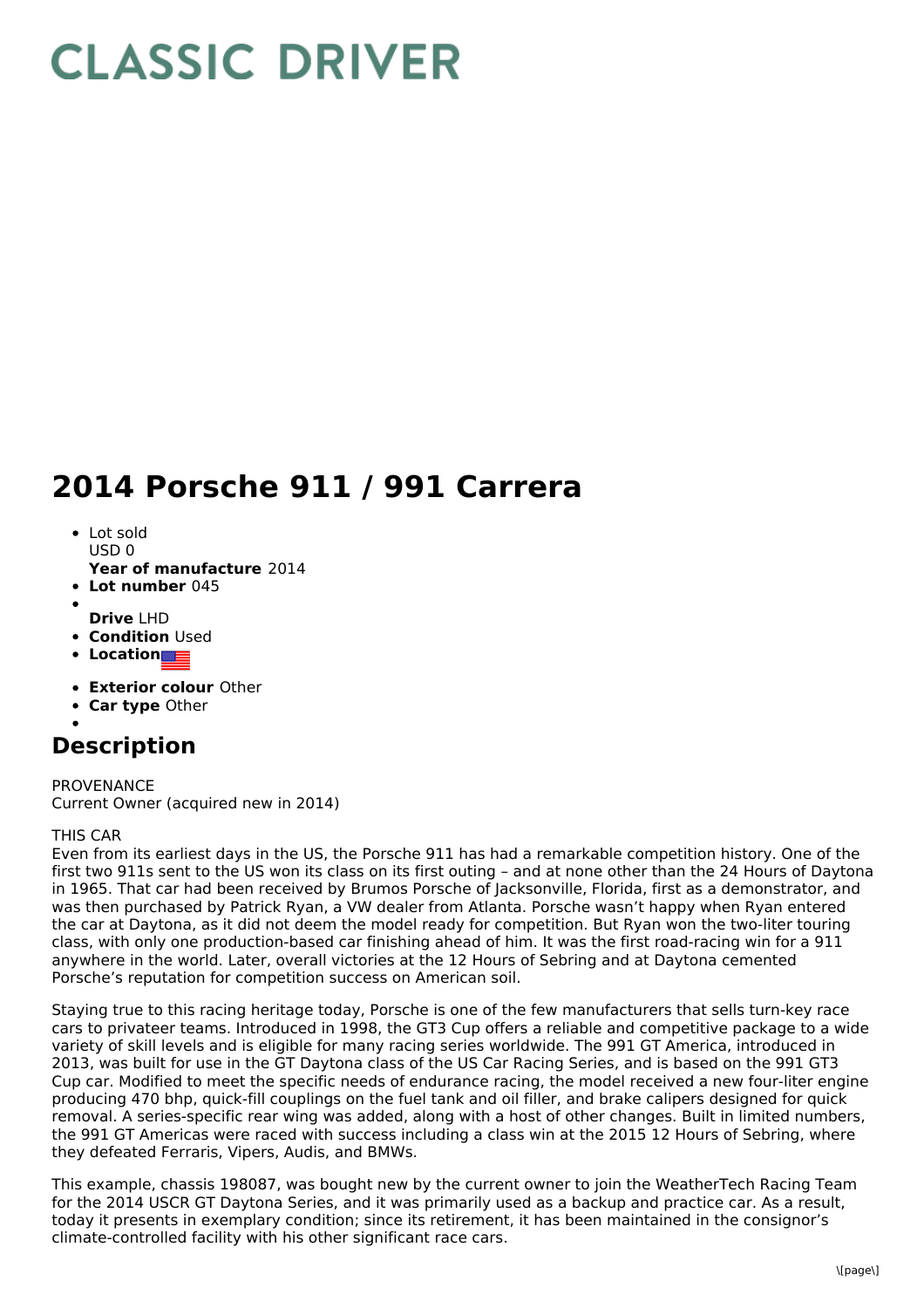## **CLASSIC DRIVER**

## **2014 Porsche 911 / 991 Carrera**

- Lot sold  $USDO$
- **Year of manufacture** 2014
- **Lot number** 045
- **Drive** LHD
- **Condition Used**
- **Location**
- 
- **Exterior colour** Other
- **Car type** Other

## **Description**

PROVENANCE Current Owner (acquired new in 2014)

## THIS CAR

Even from its earliest days in the US, the Porsche 911 has had a remarkable competition history. One of the first two 911s sent to the US won its class on its first outing – and at none other than the 24 Hours of Daytona in 1965. That car had been received by Brumos Porsche of Jacksonville, Florida, first as a demonstrator, and was then purchased by Patrick Ryan, a VW dealer from Atlanta. Porsche wasn't happy when Ryan entered the car at Daytona, as it did not deem the model ready for competition. But Ryan won the two-liter touring class, with only one production-based car finishing ahead of him. It was the first road-racing win for a 911 anywhere in the world. Later, overall victories at the 12 Hours of Sebring and at Daytona cemented Porsche's reputation for competition success on American soil.

Staying true to this racing heritage today, Porsche is one of the few manufacturers that sells turn-key race cars to privateer teams. Introduced in 1998, the GT3 Cup offers a reliable and competitive package to a wide variety of skill levels and is eligible for many racing series worldwide. The 991 GT America, introduced in 2013, was built for use in the GT Daytona class of the US Car Racing Series, and is based on the 991 GT3 Cup car. Modified to meet the specific needs of endurance racing, the model received a new four-liter engine producing 470 bhp, quick-fill couplings on the fuel tank and oil filler, and brake calipers designed for quick removal. A series-specific rear wing was added, along with a host of other changes. Built in limited numbers, the 991 GT Americas were raced with success including a class win at the 2015 12 Hours of Sebring, where they defeated Ferraris, Vipers, Audis, and BMWs.

This example, chassis 198087, was bought new by the current owner to join the WeatherTech Racing Team for the 2014 USCR GT Daytona Series, and it was primarily used as a backup and practice car. As a result, today it presents in exemplary condition; since its retirement, it has been maintained in the consignor's climate-controlled facility with his other significant race cars.